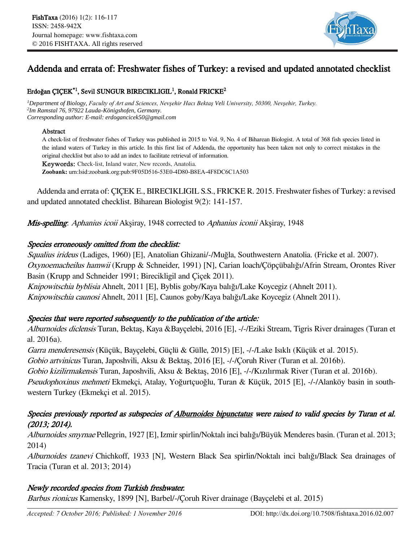

# Addenda and errata of: Freshwater fishes of Turkey: a revised and updated annotated checklist

#### Erdoğan ÇIÇEK $^{\ast1}$ , Sevil SUNGUR BIRECIKLIGIL<sup>1</sup>, Ronald FRICKE<sup>2</sup>

*<sup>1</sup>Department of Biology, Faculty of Art and Sciences, Nevşehir Hacı Bektaş Veli University, 50300, Nevşehir, Turkey. 2 Im Ramstal 76, 97922 Lauda-Königshofen, Germany. Corresponding author: E-mail: erdogancicek50@gmail.com*

#### Abstract

A check-list of freshwater fishes of Turkey was published in 2015 to Vol. 9, No. 4 of Biharean Biologist. A total of 368 fish species listed in the inland waters of Turkey in this article. In this first list of Addenda, the opportunity has been taken not only to correct mistakes in the original checklist but also to add an index to facilitate retrieval of information.

Keywords: Check-list, Inland water, New records, Anatolia.

**Zoobank:** urn:lsid:zoobank.org:pub:9F05D516-53E0-4D80-B8EA-4F8DC6C1A503

Addenda and errata of: ÇIÇEK E., BIRECIKLIGIL S.S., FRICKE R. 2015. Freshwater fishes of Turkey: a revised and updated annotated checklist. Biharean Biologist 9(2): 141-157.

Mis-spelling: Aphanius icoii Akşiray, 1948 corrected to Aphanius iconii Akşiray, 1948

# Species erroneously omitted from the checklist:

Squalius irideus (Ladiges, 1960) [E], Anatolian Ghizani/-/Muğla, Southwestern Anatolia. (Fricke et al. 2007). Oxynoemacheilus hamwii (Krupp & Schneider, 1991) [N], Carian loach/Çöpçübalığı/Afrin Stream, Orontes River Basin (Krupp and Schneider 1991; Birecikligil and Çiçek 2011). Knipowitschia byblisia Ahnelt, 2011 [E], Byblis goby/Kaya balığı/Lake Koycegiz (Ahnelt 2011). Knipowitschia caunosi Ahnelt, 2011 [E], Caunos goby/Kaya balığı/Lake Koycegiz (Ahnelt 2011).

# Species that were reported subsequently to the publication of the article:

Alburnoides diclensis Turan, Bektaş, Kaya &Bayçelebi, 2016 [E], -/-/Eziki Stream, Tigris River drainages (Turan et al. 2016a).

Garra menderesensis (Küçük, Bayçelebi, Güçlü & Gülle, 2015) [E], -/-/Lake Isıklı (Küçük et al. 2015).

Gobio artvinicus Turan, Japoshvili, Aksu & Bektaş, 2016 [E], -/-/Çoruh River (Turan et al. 2016b).

Gobio kizilirmakensis Turan, Japoshvili, Aksu & Bektaş, 2016 [E], -/-/Kızılırmak River (Turan et al. 2016b).

Pseudophoxinus mehmeti Ekmekçi, Atalay, Yoğurtçuoğlu, Turan & Küçük, 2015 [E], -/-/Alanköy basin in southwestern Turkey (Ekmekçi et al. 2015).

# Species previously reported as subspecies of Alburnoides bipunctatus were raised to valid species by Turan et al. (2013; 2014).

Alburnoides smyrnae Pellegrin, 1927 [E], Izmir spirlin/Noktalı inci balığı/Büyük Menderes basin. (Turan et al. 2013; 2014)

Alburnoides tzanevi Chichkoff, 1933 [N], Western Black Sea spirlin/Noktalı inci balığı/Black Sea drainages of Tracia (Turan et al. 2013; 2014)

# Newly recorded species from Turkish freshwater.

Barbus rionicus Kamensky, 1899 [N], Barbel/-/Çoruh River drainage (Bayçelebi et al. 2015)